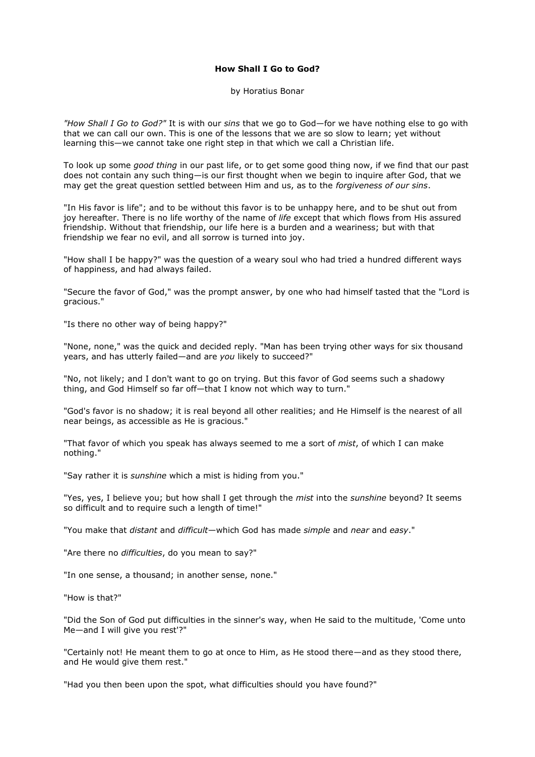## **How Shall I Go to God?**

by Horatius Bonar

*"How Shall I Go to God?"* It is with our *sins* that we go to God—for we have nothing else to go with that we can call our own. This is one of the lessons that we are so slow to learn; yet without learning this—we cannot take one right step in that which we call a Christian life.

To look up some *good thing* in our past life, or to get some good thing now, if we find that our past does not contain any such thing—is our first thought when we begin to inquire after God, that we may get the great question settled between Him and us, as to the *forgiveness of our sins*.

"In His favor is life"; and to be without this favor is to be unhappy here, and to be shut out from joy hereafter. There is no life worthy of the name of *life* except that which flows from His assured friendship. Without that friendship, our life here is a burden and a weariness; but with that friendship we fear no evil, and all sorrow is turned into joy.

"How shall I be happy?" was the question of a weary soul who had tried a hundred different ways of happiness, and had always failed.

"Secure the favor of God," was the prompt answer, by one who had himself tasted that the "Lord is gracious."

"Is there no other way of being happy?"

"None, none," was the quick and decided reply. "Man has been trying other ways for six thousand years, and has utterly failed—and are *you* likely to succeed?"

"No, not likely; and I don't want to go on trying. But this favor of God seems such a shadowy thing, and God Himself so far off—that I know not which way to turn."

"God's favor is no shadow; it is real beyond all other realities; and He Himself is the nearest of all near beings, as accessible as He is gracious."

"That favor of which you speak has always seemed to me a sort of *mist*, of which I can make nothing."

"Say rather it is *sunshine* which a mist is hiding from you."

"Yes, yes, I believe you; but how shall I get through the *mist* into the *sunshine* beyond? It seems so difficult and to require such a length of time!"

"You make that *distant* and *difficult*—which God has made *simple* and *near* and *easy*."

"Are there no *difficulties*, do you mean to say?"

"In one sense, a thousand; in another sense, none."

"How is that?"

"Did the Son of God put difficulties in the sinner's way, when He said to the multitude, 'Come unto Me—and I will give you rest'?"

"Certainly not! He meant them to go at once to Him, as He stood there—and as they stood there, and He would give them rest."

"Had you then been upon the spot, what difficulties should you have found?"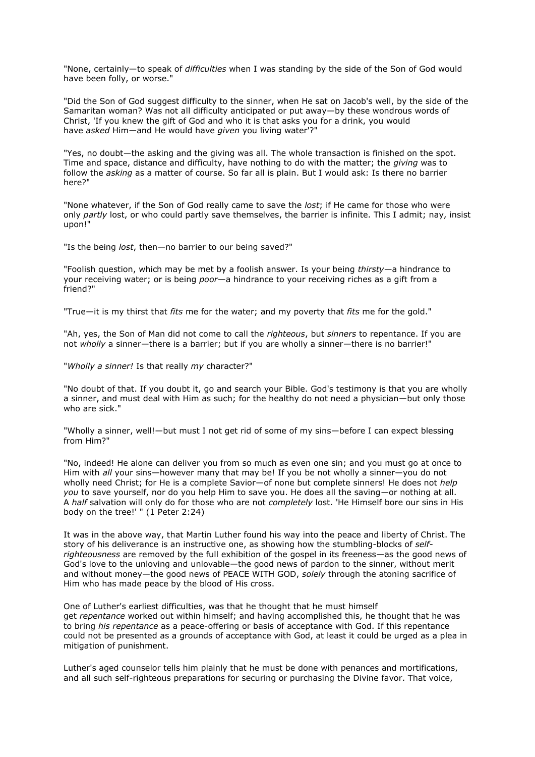"None, certainly—to speak of *difficulties* when I was standing by the side of the Son of God would have been folly, or worse."

"Did the Son of God suggest difficulty to the sinner, when He sat on Jacob's well, by the side of the Samaritan woman? Was not all difficulty anticipated or put away—by these wondrous words of Christ, 'If you knew the gift of God and who it is that asks you for a drink, you would have *asked* Him—and He would have *given* you living water'?"

"Yes, no doubt—the asking and the giving was all. The whole transaction is finished on the spot. Time and space, distance and difficulty, have nothing to do with the matter; the *giving* was to follow the *asking* as a matter of course. So far all is plain. But I would ask: Is there no barrier here?"

"None whatever, if the Son of God really came to save the *lost*; if He came for those who were only *partly* lost, or who could partly save themselves, the barrier is infinite. This I admit; nay, insist upon!"

"Is the being *lost*, then—no barrier to our being saved?"

"Foolish question, which may be met by a foolish answer. Is your being *thirsty—*a hindrance to your receiving water; or is being *poor—*a hindrance to your receiving riches as a gift from a friend?"

"True—it is my thirst that *fits* me for the water; and my poverty that *fits* me for the gold."

"Ah, yes, the Son of Man did not come to call the *righteous*, but *sinners* to repentance. If you are not *wholly* a sinner—there is a barrier; but if you are wholly a sinner—there is no barrier!"

"*Wholly a sinner!* Is that really *my* character?"

"No doubt of that. If you doubt it, go and search your Bible. God's testimony is that you are wholly a sinner, and must deal with Him as such; for the healthy do not need a physician—but only those who are sick."

"Wholly a sinner, well!—but must I not get rid of some of my sins—before I can expect blessing from Him?"

"No, indeed! He alone can deliver you from so much as even one sin; and you must go at once to Him with *all* your sins—however many that may be! If you be not wholly a sinner—you do not wholly need Christ; for He is a complete Savior—of none but complete sinners! He does not *help you* to save yourself, nor do you help Him to save you. He does all the saving—or nothing at all. A *half* salvation will only do for those who are not *completely* lost. 'He Himself bore our sins in His body on the tree!' " (1 Peter 2:24)

It was in the above way, that Martin Luther found his way into the peace and liberty of Christ. The story of his deliverance is an instructive one, as showing how the stumbling-blocks of *selfrighteousness* are removed by the full exhibition of the gospel in its freeness—as the good news of God's love to the unloving and unlovable—the good news of pardon to the sinner, without merit and without money—the good news of PEACE WITH GOD, *solely* through the atoning sacrifice of Him who has made peace by the blood of His cross.

One of Luther's earliest difficulties, was that he thought that he must himself get *repentance* worked out within himself; and having accomplished this, he thought that he was to bring *his repentance* as a peace-offering or basis of acceptance with God. If this repentance could not be presented as a grounds of acceptance with God, at least it could be urged as a plea in mitigation of punishment.

Luther's aged counselor tells him plainly that he must be done with penances and mortifications, and all such self-righteous preparations for securing or purchasing the Divine favor. That voice,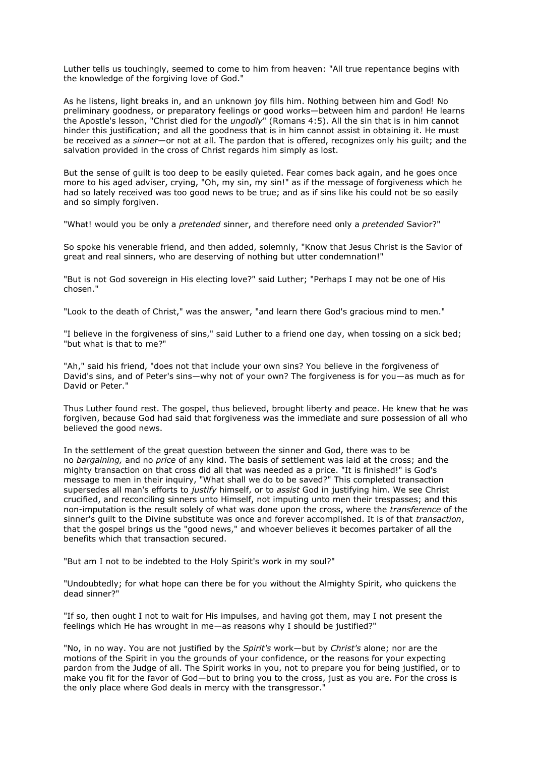Luther tells us touchingly, seemed to come to him from heaven: "All true repentance begins with the knowledge of the forgiving love of God."

As he listens, light breaks in, and an unknown joy fills him. Nothing between him and God! No preliminary goodness, or preparatory feelings or good works—between him and pardon! He learns the Apostle's lesson, "Christ died for the *ungodly*" (Romans 4:5). All the sin that is in him cannot hinder this justification; and all the goodness that is in him cannot assist in obtaining it. He must be received as a *sinner*—or not at all. The pardon that is offered, recognizes only his guilt; and the salvation provided in the cross of Christ regards him simply as lost.

But the sense of guilt is too deep to be easily quieted. Fear comes back again, and he goes once more to his aged adviser, crying, "Oh, my sin, my sin!" as if the message of forgiveness which he had so lately received was too good news to be true; and as if sins like his could not be so easily and so simply forgiven.

"What! would you be only a *pretended* sinner, and therefore need only a *pretended* Savior?"

So spoke his venerable friend, and then added, solemnly, "Know that Jesus Christ is the Savior of great and real sinners, who are deserving of nothing but utter condemnation!"

"But is not God sovereign in His electing love?" said Luther; "Perhaps I may not be one of His chosen."

"Look to the death of Christ," was the answer, "and learn there God's gracious mind to men."

"I believe in the forgiveness of sins," said Luther to a friend one day, when tossing on a sick bed; "but what is that to me?"

"Ah," said his friend, "does not that include your own sins? You believe in the forgiveness of David's sins, and of Peter's sins—why not of your own? The forgiveness is for you—as much as for David or Peter."

Thus Luther found rest. The gospel, thus believed, brought liberty and peace. He knew that he was forgiven, because God had said that forgiveness was the immediate and sure possession of all who believed the good news.

In the settlement of the great question between the sinner and God, there was to be no *bargaining,* and no *price* of any kind. The basis of settlement was laid at the cross; and the mighty transaction on that cross did all that was needed as a price. "It is finished!" is God's message to men in their inquiry, "What shall we do to be saved?" This completed transaction supersedes all man's efforts to *justify* himself, or to *assist* God in justifying him. We see Christ crucified, and reconciling sinners unto Himself, not imputing unto men their trespasses; and this non-imputation is the result solely of what was done upon the cross, where the *transference* of the sinner's guilt to the Divine substitute was once and forever accomplished. It is of that *transaction*, that the gospel brings us the "good news," and whoever believes it becomes partaker of all the benefits which that transaction secured.

"But am I not to be indebted to the Holy Spirit's work in my soul?"

"Undoubtedly; for what hope can there be for you without the Almighty Spirit, who quickens the dead sinner?"

"If so, then ought I not to wait for His impulses, and having got them, may I not present the feelings which He has wrought in me—as reasons why I should be justified?"

"No, in no way. You are not justified by the *Spirit's* work—but by *Christ's* alone; nor are the motions of the Spirit in you the grounds of your confidence, or the reasons for your expecting pardon from the Judge of all. The Spirit works in you, not to prepare you for being justified, or to make you fit for the favor of God—but to bring you to the cross, just as you are. For the cross is the only place where God deals in mercy with the transgressor."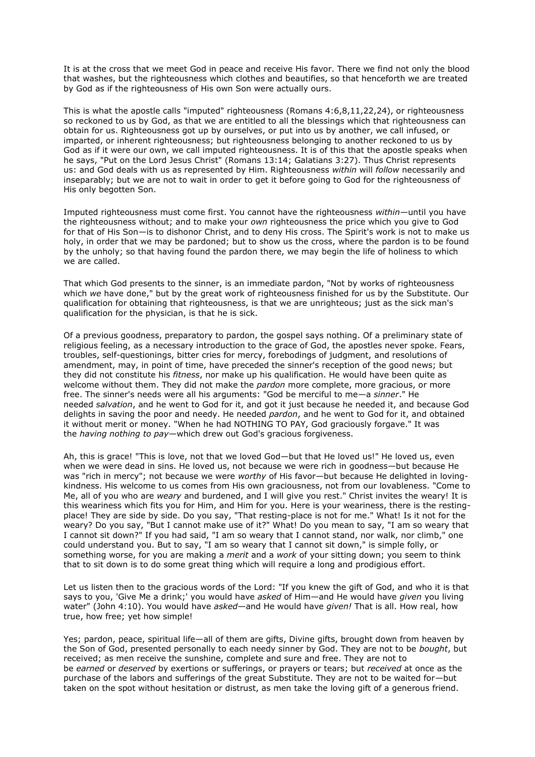It is at the cross that we meet God in peace and receive His favor. There we find not only the blood that washes, but the righteousness which clothes and beautifies, so that henceforth we are treated by God as if the righteousness of His own Son were actually ours.

This is what the apostle calls "imputed" righteousness (Romans 4:6,8,11,22,24), or righteousness so reckoned to us by God, as that we are entitled to all the blessings which that righteousness can obtain for us. Righteousness got up by ourselves, or put into us by another, we call infused, or imparted, or inherent righteousness; but righteousness belonging to another reckoned to us by God as if it were our own, we call imputed righteousness. It is of this that the apostle speaks when he says, "Put on the Lord Jesus Christ" (Romans 13:14; Galatians 3:27). Thus Christ represents us: and God deals with us as represented by Him. Righteousness *within* will *follow* necessarily and inseparably; but we are not to wait in order to get it before going to God for the righteousness of His only begotten Son.

Imputed righteousness must come first. You cannot have the righteousness *within—*until you have the righteousness without; and to make your *own* righteousness the price which you give to God for that of His Son—is to dishonor Christ, and to deny His cross. The Spirit's work is not to make us holy, in order that we may be pardoned; but to show us the cross, where the pardon is to be found by the unholy; so that having found the pardon there, we may begin the life of holiness to which we are called.

That which God presents to the sinner, is an immediate pardon, "Not by works of righteousness which *we* have done," but by the great work of righteousness finished for us by the Substitute. Our qualification for obtaining that righteousness, is that we are unrighteous; just as the sick man's qualification for the physician, is that he is sick.

Of a previous goodness, preparatory to pardon, the gospel says nothing. Of a preliminary state of religious feeling, as a necessary introduction to the grace of God, the apostles never spoke. Fears, troubles, self-questionings, bitter cries for mercy, forebodings of judgment, and resolutions of amendment, may, in point of time, have preceded the sinner's reception of the good news; but they did not constitute his *fitness*, nor make up his qualification. He would have been quite as welcome without them. They did not make the *pardon* more complete, more gracious, or more free. The sinner's needs were all his arguments: "God be merciful to me—a *sinner*." He needed *salvation*, and he went to God for it, and got it just because he needed it, and because God delights in saving the poor and needy. He needed *pardon*, and he went to God for it, and obtained it without merit or money. "When he had NOTHING TO PAY, God graciously forgave." It was the *having nothing to pay*—which drew out God's gracious forgiveness.

Ah, this is grace! "This is love, not that we loved God—but that He loved us!" He loved us, even when we were dead in sins. He loved us, not because we were rich in goodness—but because He was "rich in mercy"; not because we were *worthy* of His favor—but because He delighted in lovingkindness. His welcome to us comes from His own graciousness, not from our lovableness. "Come to Me, all of you who are *weary* and burdened, and I will give you rest." Christ invites the weary! It is this weariness which fits you for Him, and Him for you. Here is your weariness, there is the restingplace! They are side by side. Do you say, "That resting-place is not for me." What! Is it not for the weary? Do you say, "But I cannot make use of it?" What! Do you mean to say, "I am so weary that I cannot sit down?" If you had said, "I am so weary that I cannot stand, nor walk, nor climb," one could understand you. But to say, "I am so weary that I cannot sit down," is simple folly, or something worse, for you are making a *merit* and a *work* of your sitting down; you seem to think that to sit down is to do some great thing which will require a long and prodigious effort.

Let us listen then to the gracious words of the Lord: "If you knew the gift of God, and who it is that says to you, 'Give Me a drink;' you would have *asked* of Him—and He would have *given* you living water" (John 4:10). You would have *asked*—and He would have *given!* That is all. How real, how true, how free; yet how simple!

Yes; pardon, peace, spiritual life—all of them are gifts, Divine gifts, brought down from heaven by the Son of God, presented personally to each needy sinner by God. They are not to be *bought*, but received; as men receive the sunshine, complete and sure and free. They are not to be *earned* or *deserved* by exertions or sufferings, or prayers or tears; but *received* at once as the purchase of the labors and sufferings of the great Substitute. They are not to be waited for—but taken on the spot without hesitation or distrust, as men take the loving gift of a generous friend.